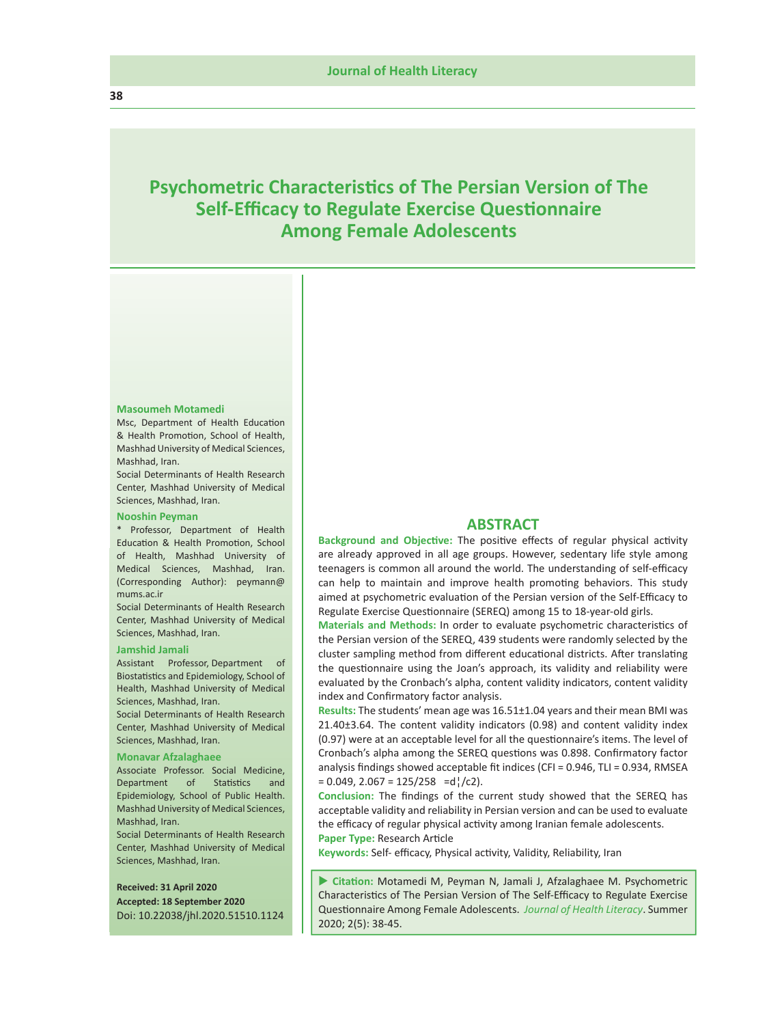# **Psychometric Characteristics of The Persian Version of The Self-Efficacy to Regulate Exercise Questionnaire Among Female Adolescents**

#### **Masoumeh Motamedi**

Msc, Department of Health Education & Health Promotion, School of Health, Mashhad University of Medical Sciences, Mashhad, Iran.

Social Determinants of Health Research Center, Mashhad University of Medical Sciences, Mashhad, Iran.

#### **Nooshin Peyman**

\* Professor, Department of Health Education & Health Promotion, School of Health, Mashhad University of Medical Sciences, Mashhad, Iran. (Corresponding Author): peymann@ mums.ac.ir

Social Determinants of Health Research Center, Mashhad University of Medical Sciences, Mashhad, Iran.

#### **Jamshid Jamali**

Assistant Professor, Department of Biostatistics and Epidemiology, School of Health, Mashhad University of Medical Sciences, Mashhad, Iran. Social Determinants of Health Research Center, Mashhad University of Medical

## Sciences, Mashhad, Iran. **Monavar Afzalaghaee**

Associate Professor. Social Medicine, Department of Statistics and Epidemiology, School of Public Health. Mashhad University of Medical Sciences, Mashhad, Iran.

Social Determinants of Health Research Center, Mashhad University of Medical Sciences, Mashhad, Iran.

### **Received: 31 April 2020 Accepted: 18 September 2020** Doi: 10.22038/jhl.2020.51510.1124

# **ABSTRACT**

**Background and Objective:** The positive effects of regular physical activity are already approved in all age groups. However, sedentary life style among teenagers is common all around the world. The understanding of self-efficacy can help to maintain and improve health promoting behaviors. This study aimed at psychometric evaluation of the Persian version of the Self-Efficacy to Regulate Exercise Questionnaire (SEREQ) among 15 to 18-year-old girls.

**Materials and Methods:** In order to evaluate psychometric characteristics of the Persian version of the SEREQ, 439 students were randomly selected by the cluster sampling method from different educational districts. After translating the questionnaire using the Joan's approach, its validity and reliability were evaluated by the Cronbach's alpha, content validity indicators, content validity index and Confirmatory factor analysis.

**Results:** The students' mean age was 16.51±1.04 years and their mean BMI was 21.40±3.64. The content validity indicators (0.98) and content validity index (0.97) were at an acceptable level for all the questionnaire's items. The level of Cronbach's alpha among the SEREQ questions was 0.898. Confirmatory factor analysis findings showed acceptable fit indices (CFI = 0.946, TLI = 0.934, RMSEA  $= 0.049$ , 2.067 = 125/258 =d¦/c2).

**Conclusion:** The findings of the current study showed that the SEREQ has acceptable validity and reliability in Persian version and can be used to evaluate the efficacy of regular physical activity among Iranian female adolescents. **Paper Type:** Research Article

**Keywords:** Self- efficacy, Physical activity, Validity, Reliability, Iran

 **Citation:** Motamedi M, Peyman N, Jamali J, Afzalaghaee M. Psychometric Characteristics of The Persian Version of The Self-Efficacy to Regulate Exercise Questionnaire Among Female Adolescents. *Journal of Health Literacy*. Summer 2020; 2(5): 38-45.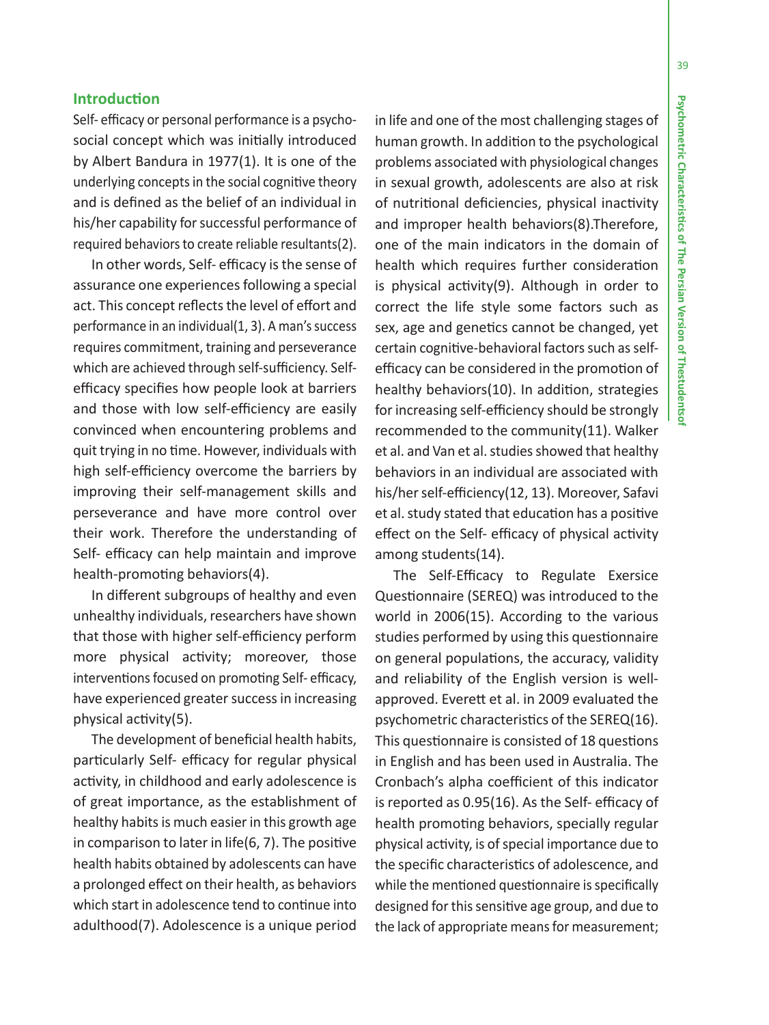# **Introduction**

Self- efficacy or personal performance is a psychosocial concept which was initially introduced by Albert Bandura in 1977(1). It is one of the underlying concepts in the social cognitive theory and is defined as the belief of an individual in his/her capability for successful performance of required behaviors to create reliable resultants(2).

In other words, Self- efficacy is the sense of assurance one experiences following a special act. This concept reflects the level of effort and performance in an individual(1, 3). A man's success requires commitment, training and perseverance which are achieved through self-sufficiency. Selfefficacy specifies how people look at barriers and those with low self-efficiency are easily convinced when encountering problems and quit trying in no time. However, individuals with high self-efficiency overcome the barriers by improving their self-management skills and perseverance and have more control over their work. Therefore the understanding of Self- efficacy can help maintain and improve health-promoting behaviors(4).

In different subgroups of healthy and even unhealthy individuals, researchers have shown that those with higher self-efficiency perform more physical activity; moreover, those interventions focused on promoting Self- efficacy, have experienced greater success in increasing physical activity(5).

The development of beneficial health habits, particularly Self- efficacy for regular physical activity, in childhood and early adolescence is of great importance, as the establishment of healthy habits is much easier in this growth age in comparison to later in life(6, 7). The positive health habits obtained by adolescents can have a prolonged effect on their health, as behaviors which start in adolescence tend to continue into adulthood(7). Adolescence is a unique period

in life and one of the most challenging stages of human growth. In addition to the psychological problems associated with physiological changes in sexual growth, adolescents are also at risk of nutritional deficiencies, physical inactivity and improper health behaviors(8).Therefore, one of the main indicators in the domain of health which requires further consideration is physical activity(9). Although in order to correct the life style some factors such as sex, age and genetics cannot be changed, yet certain cognitive-behavioral factors such as selfefficacy can be considered in the promotion of healthy behaviors(10). In addition, strategies for increasing self-efficiency should be strongly recommended to the community(11). Walker et al. and Van et al. studies showed that healthy behaviors in an individual are associated with his/her self-efficiency(12, 13). Moreover, Safavi et al. study stated that education has a positive effect on the Self- efficacy of physical activity among students(14).

The Self-Efficacy to Regulate Exersice Questionnaire (SEREQ) was introduced to the world in 2006(15). According to the various studies performed by using this questionnaire on general populations, the accuracy, validity and reliability of the English version is wellapproved. Everett et al. in 2009 evaluated the psychometric characteristics of the SEREQ(16). This questionnaire is consisted of 18 questions in English and has been used in Australia. The Cronbach's alpha coefficient of this indicator is reported as 0.95(16). As the Self- efficacy of health promoting behaviors, specially regular physical activity, is of special importance due to the specific characteristics of adolescence, and while the mentioned questionnaire is specifically designed for this sensitive age group, and due to the lack of appropriate means for measurement;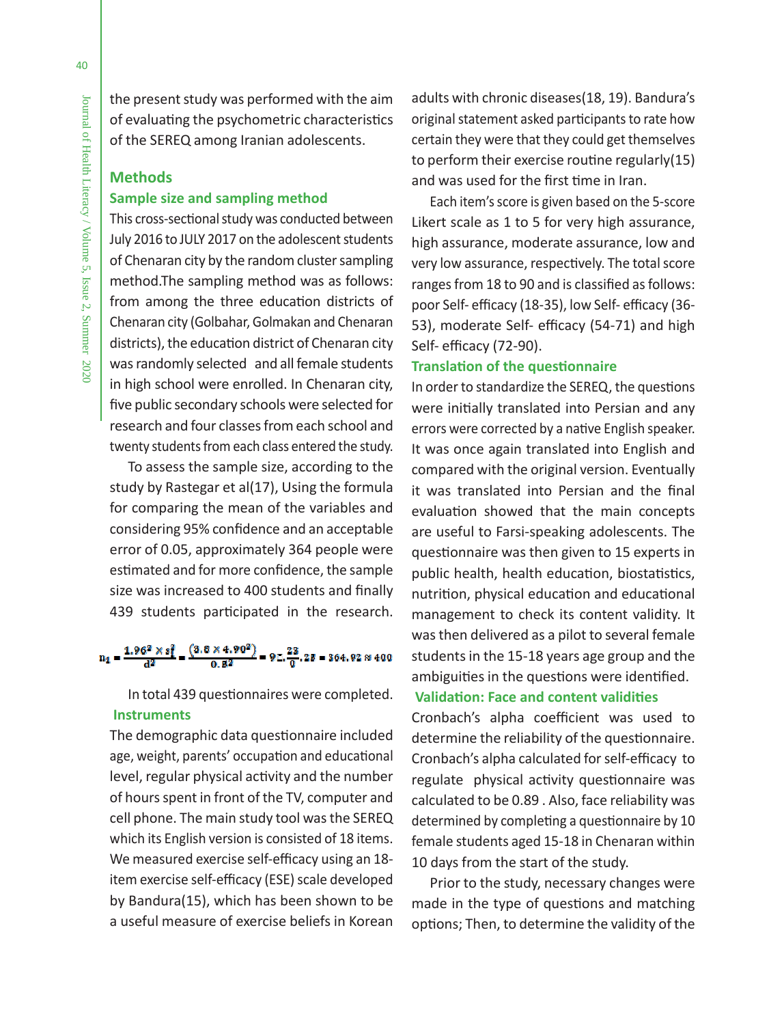the present study was performed with the aim of evaluating the psychometric characteristics of the SEREQ among Iranian adolescents.

# **Methods Sample size and sampling method**

This cross-sectional study was conducted between July 2016 to JULY 2017 on the adolescent students of Chenaran city by the random cluster sampling method.The sampling method was as follows: from among the three education districts of Chenaran city (Golbahar, Golmakan and Chenaran districts), the education district of Chenaran city was randomly selected and all female students in high school were enrolled. In Chenaran city, five public secondary schools were selected for research and four classes from each school and twenty students from each class entered the study.

To assess the sample size, according to the study by Rastegar et al(17), Using the formula for comparing the mean of the variables and considering 95% confidence and an acceptable error of 0.05, approximately 364 people were estimated and for more confidence, the sample size was increased to 400 students and finally 439 students participated in the research.

# $n_1 = \frac{1.96^2 \times s_1^2}{d^2} = \frac{(3.8 \times 4.90^2)}{0.8^2} = 9 \pm \frac{23}{0}.28 = 364.92 \approx 400$

In total 439 questionnaires were completed.  **Instruments**

The demographic data questionnaire included age, weight, parents' occupation and educational level, regular physical activity and the number of hours spent in front of the TV, computer and cell phone. The main study tool was the SEREQ which its English version is consisted of 18 items. We measured exercise self-efficacy using an 18 item exercise self-efficacy (ESE) scale developed by Bandura(15), which has been shown to be a useful measure of exercise beliefs in Korean

adults with chronic diseases(18, 19). Bandura's original statement asked participants to rate how certain they were that they could get themselves to perform their exercise routine regularly(15) and was used for the first time in Iran.

Each item's score is given based on the 5-score Likert scale as 1 to 5 for very high assurance, high assurance, moderate assurance, low and very low assurance, respectively. The total score ranges from 18 to 90 and is classified as follows: poor Self- efficacy (18-35), low Self- efficacy (36- 53), moderate Self- efficacy (54-71) and high Self- efficacy (72-90).

# **Translation of the questionnaire**

In order to standardize the SEREQ, the questions were initially translated into Persian and any errors were corrected by a native English speaker. It was once again translated into English and compared with the original version. Eventually it was translated into Persian and the final evaluation showed that the main concepts are useful to Farsi-speaking adolescents. The questionnaire was then given to 15 experts in public health, health education, biostatistics, nutrition, physical education and educational management to check its content validity. It was then delivered as a pilot to several female students in the 15-18 years age group and the ambiguities in the questions were identified.

# **Validation: Face and content validities**

Cronbach's alpha coefficient was used to determine the reliability of the questionnaire. Cronbach's alpha calculated for self-efficacy to regulate physical activity questionnaire was calculated to be 0.89 . Also, face reliability was determined by completing a questionnaire by 10 female students aged 15-18 in Chenaran within 10 days from the start of the study.

Prior to the study, necessary changes were made in the type of questions and matching options; Then, to determine the validity of the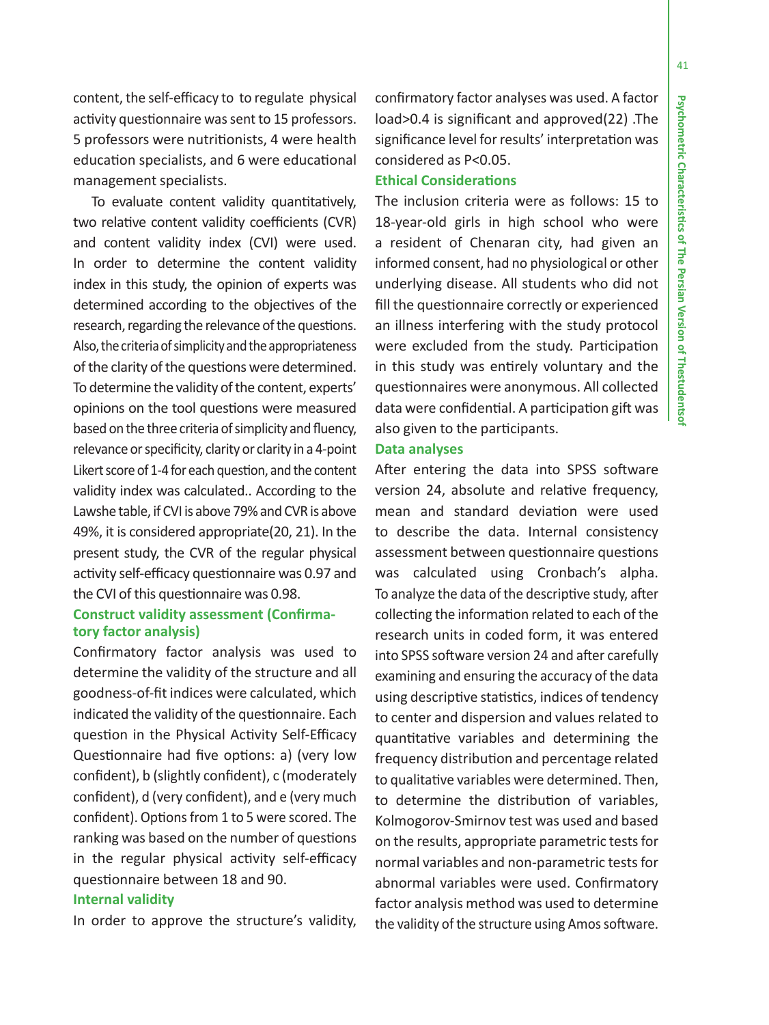content, the self-efficacy to to regulate physical activity questionnaire was sent to 15 professors. 5 professors were nutritionists, 4 were health education specialists, and 6 were educational management specialists.

To evaluate content validity quantitatively, two relative content validity coefficients (CVR) and content validity index (CVI) were used. In order to determine the content validity index in this study, the opinion of experts was determined according to the objectives of the research, regarding the relevance of the questions. Also, the criteria of simplicity and the appropriateness of the clarity of the questions were determined. To determine the validity of the content, experts' opinions on the tool questions were measured based on the three criteria of simplicity and fluency, relevance or specificity, clarity or clarity in a 4-point Likert score of 1-4 for each question, and the content validity index was calculated.. According to the Lawshe table, if CVI is above 79% and CVR is above 49%, it is considered appropriate(20, 21). In the present study, the CVR of the regular physical activity self-efficacy questionnaire was 0.97 and the CVI of this questionnaire was 0.98.

# **Construct validity assessment (Confirmatory factor analysis)**

Confirmatory factor analysis was used to determine the validity of the structure and all goodness-of-fit indices were calculated, which indicated the validity of the questionnaire. Each question in the Physical Activity Self-Efficacy Questionnaire had five options: a) (very low confident), b (slightly confident), c (moderately confident), d (very confident), and e (very much confident). Options from 1 to 5 were scored. The ranking was based on the number of questions in the regular physical activity self-efficacy questionnaire between 18 and 90.

# **Internal validity**

In order to approve the structure's validity,

confirmatory factor analyses was used. A factor load>0.4 is significant and approved(22) .The significance level for results' interpretation was considered as P<0.05.

# **Ethical Considerations**

The inclusion criteria were as follows: 15 to 18-year-old girls in high school who were a resident of Chenaran city, had given an informed consent, had no physiological or other underlying disease. All students who did not fill the questionnaire correctly or experienced an illness interfering with the study protocol were excluded from the study. Participation in this study was entirely voluntary and the questionnaires were anonymous. All collected data were confidential. A participation gift was also given to the participants.

# **Data analyses**

After entering the data into SPSS software version 24, absolute and relative frequency, mean and standard deviation were used to describe the data. Internal consistency assessment between questionnaire questions was calculated using Cronbach's alpha. To analyze the data of the descriptive study, after collecting the information related to each of the research units in coded form, it was entered into SPSS software version 24 and after carefully examining and ensuring the accuracy of the data using descriptive statistics, indices of tendency to center and dispersion and values related to quantitative variables and determining the frequency distribution and percentage related to qualitative variables were determined. Then, to determine the distribution of variables, Kolmogorov-Smirnov test was used and based on the results, appropriate parametric tests for normal variables and non-parametric tests for abnormal variables were used. Confirmatory factor analysis method was used to determine the validity of the structure using Amos software.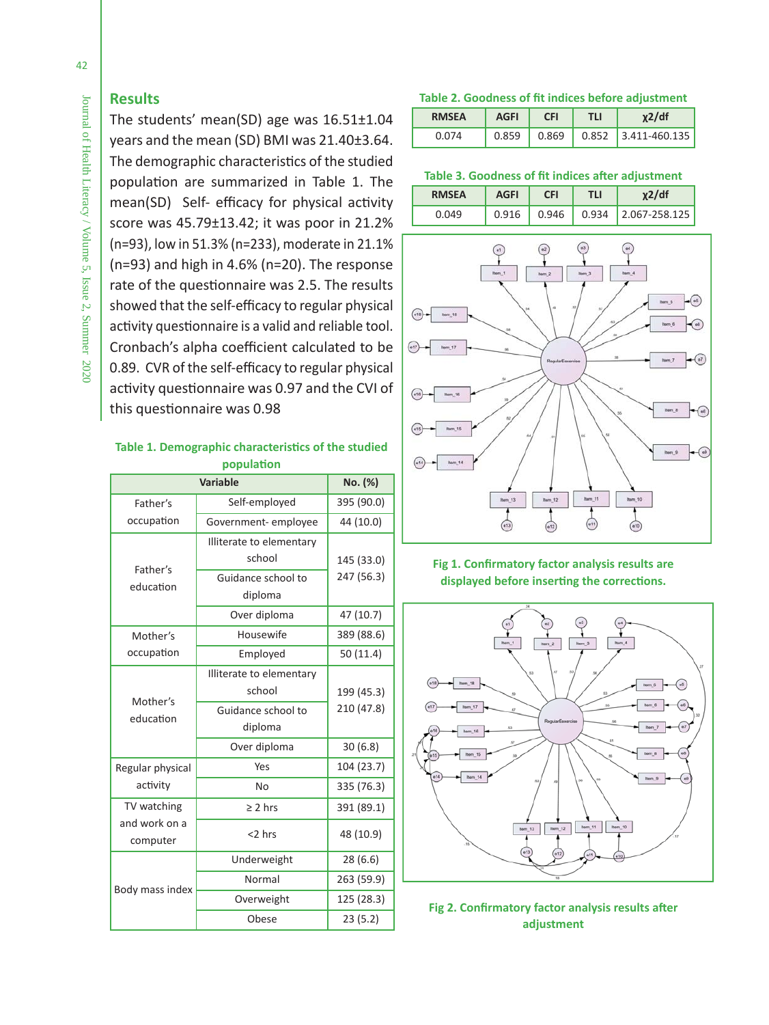# **Results**

The students' mean(SD) age was 16.51±1.04 years and the mean (SD) BMI was 21.40±3.64. The demographic characteristics of the studied population are summarized in Table 1. The mean(SD) Self- efficacy for physical activity score was 45.79±13.42; it was poor in 21.2% (n=93), low in 51.3% (n=233), moderate in 21.1% (n=93) and high in 4.6% (n=20). The response rate of the questionnaire was 2.5. The results showed that the self-efficacy to regular physical activity questionnaire is a valid and reliable tool. Cronbach's alpha coefficient calculated to be 0.89. CVR of the self-efficacy to regular physical activity questionnaire was 0.97 and the CVI of this questionnaire was 0.98

# **Table 1. Demographic characteristics of the studied population**

|                           | <b>Variable</b>                    | No. (%)    |
|---------------------------|------------------------------------|------------|
| Father's                  | Self-employed                      | 395 (90.0) |
| occupation                | Government-employee                | 44 (10.0)  |
|                           | Illiterate to elementary<br>school | 145 (33.0) |
| Father's<br>education     | Guidance school to<br>diploma      | 247 (56.3) |
|                           | Over diploma                       | 47 (10.7)  |
| Mother's                  | Housewife                          | 389 (88.6) |
| occupation                | Employed                           | 50 (11.4)  |
| Mother's<br>education     | Illiterate to elementary<br>school | 199 (45.3) |
|                           | Guidance school to<br>diploma      | 210 (47.8) |
|                           | Over diploma                       | 30(6.8)    |
| Regular physical          | Yes                                | 104 (23.7) |
| activity                  | <b>No</b>                          | 335 (76.3) |
| TV watching               | $\geq 2$ hrs                       | 391 (89.1) |
| and work on a<br>computer | <2 hrs                             | 48 (10.9)  |
|                           | Underweight                        | 28(6.6)    |
| Body mass index           | Normal                             | 263 (59.9) |
|                           | Overweight                         | 125 (28.3) |
|                           | Obese                              | 23(5.2)    |

### **Table 2. Goodness of fit indices before adjustment**

| <b>RMSEA</b> | <b>AGFI</b> | <b>CFI</b> | TLI | $x^2/df$              |
|--------------|-------------|------------|-----|-----------------------|
| 0.074        | 0.859       | 0.869      |     | $0.852$ 3.411-460.135 |

# **Table 3. Goodness of fit indices after adjustment**

| <b>RMSEA</b> | <b>AGFI</b> | CFI   | ГLI   | /df               |
|--------------|-------------|-------|-------|-------------------|
|              |             | 0.946 | 0.934 | $'$ 2.067-258.125 |



# **Fig 1. Confirmatory factor analysis results are displayed before inserting the corrections.**



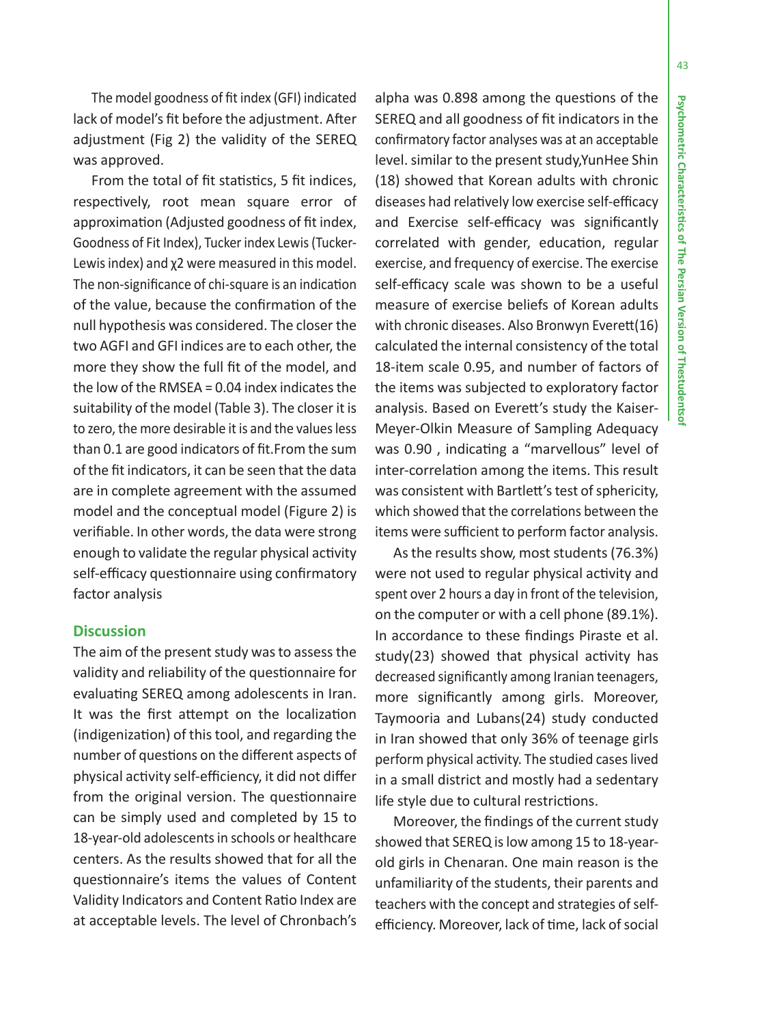43

The model goodness of fit index (GFI) indicated lack of model's fit before the adjustment. After adjustment (Fig 2) the validity of the SEREQ was approved.

From the total of fit statistics, 5 fit indices, respectively, root mean square error of approximation (Adjusted goodness of fit index, Goodness of Fit Index), Tucker index Lewis (Tucker-Lewis index) and χ2 were measured in this model. The non-significance of chi-square is an indication of the value, because the confirmation of the null hypothesis was considered. The closer the two AGFI and GFI indices are to each other, the more they show the full fit of the model, and the low of the RMSEA = 0.04 index indicates the suitability of the model (Table 3). The closer it is to zero, the more desirable it is and the values less than 0.1 are good indicators of fit.From the sum of the fit indicators, it can be seen that the data are in complete agreement with the assumed model and the conceptual model (Figure 2) is verifiable. In other words, the data were strong enough to validate the regular physical activity self-efficacy questionnaire using confirmatory factor analysis

# **Discussion**

The aim of the present study was to assess the validity and reliability of the questionnaire for evaluating SEREQ among adolescents in Iran. It was the first attempt on the localization (indigenization) of this tool, and regarding the number of questions on the different aspects of physical activity self-efficiency, it did not differ from the original version. The questionnaire can be simply used and completed by 15 to 18-year-old adolescents in schools or healthcare centers. As the results showed that for all the questionnaire's items the values of Content Validity Indicators and Content Ratio Index are at acceptable levels. The level of Chronbach's

alpha was 0.898 among the questions of the SEREQ and all goodness of fit indicators in the confirmatory factor analyses was at an acceptable level. similar to the present study,YunHee Shin (18) showed that Korean adults with chronic diseases had relatively low exercise self-efficacy and Exercise self-efficacy was significantly correlated with gender, education, regular exercise, and frequency of exercise. The exercise self-efficacy scale was shown to be a useful measure of exercise beliefs of Korean adults with chronic diseases. Also Bronwyn Everett(16) calculated the internal consistency of the total 18-item scale 0.95, and number of factors of the items was subjected to exploratory factor analysis. Based on Everett's study the Kaiser-Meyer-Olkin Measure of Sampling Adequacy was 0.90 , indicating a "marvellous" level of inter-correlation among the items. This result was consistent with Bartlett's test of sphericity, which showed that the correlations between the items were sufficient to perform factor analysis.

As the results show, most students (76.3%) were not used to regular physical activity and spent over 2 hours a day in front of the television, on the computer or with a cell phone (89.1%). In accordance to these findings Piraste et al. study(23) showed that physical activity has decreased significantly among Iranian teenagers, more significantly among girls. Moreover, Taymooria and Lubans(24) study conducted in Iran showed that only 36% of teenage girls perform physical activity. The studied cases lived in a small district and mostly had a sedentary life style due to cultural restrictions.

Moreover, the findings of the current study showed that SEREQ is low among 15 to 18-yearold girls in Chenaran. One main reason is the unfamiliarity of the students, their parents and teachers with the concept and strategies of selfefficiency. Moreover, lack of time, lack of social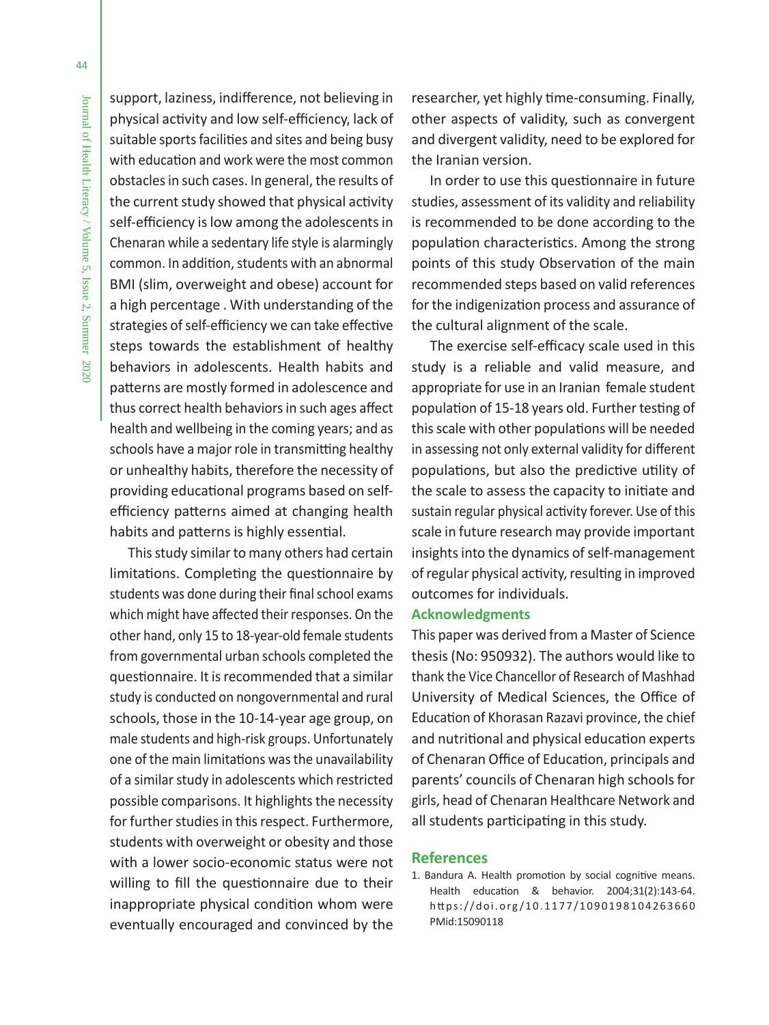support, laziness, indifference, not believing in physical activity and low self-efficiency, lack of suitable sports facilities and sites and being busy with education and work were the most common obstacles in such cases. In general, the results of the current study showed that physical activity self-efficiency is low among the adolescents in Chenaran while a sedentary life style is alarmingly common. In addition, students with an abnormal BMI (slim, overweight and obese) account for a high percentage . With understanding of the strategies of self-efficiency we can take effective steps towards the establishment of healthy behaviors in adolescents. Health habits and patterns are mostly formed in adolescence and thus correct health behaviors in such ages affect health and wellbeing in the coming years; and as schools have a major role in transmitting healthy or unhealthy habits, therefore the necessity of providing educational programs based on selfefficiency patterns aimed at changing health habits and patterns is highly essential.

This study similar to many others had certain limitations. Completing the questionnaire by students was done during their final school exams which might have affected their responses. On the other hand, only 15 to 18-year-old female students from governmental urban schools completed the questionnaire. It is recommended that a similar study is conducted on nongovernmental and rural schools, those in the 10-14-year age group, on male students and high-risk groups. Unfortunately one of the main limitations was the unavailability of a similar study in adolescents which restricted possible comparisons. It highlights the necessity for further studies in this respect. Furthermore, students with overweight or obesity and those with a lower socio-economic status were not willing to fill the questionnaire due to their inappropriate physical condition whom were eventually encouraged and convinced by the researcher, yet highly time-consuming. Finally, other aspects of validity, such as convergent and divergent validity, need to be explored for the Iranian version.

In order to use this questionnaire in future studies, assessment of its validity and reliability is recommended to be done according to the population characteristics. Among the strong points of this study Observation of the main recommended steps based on valid references for the indigenization process and assurance of the cultural alignment of the scale.

The exercise self-efficacy scale used in this study is a reliable and valid measure, and appropriate for use in an Iranian female student population of 15-18 years old. Further testing of this scale with other populations will be needed in assessing not only external validity for different populations, but also the predictive utility of the scale to assess the capacity to initiate and sustain regular physical activity forever. Use of this scale in future research may provide important insights into the dynamics of self-management of regular physical activity, resulting in improved outcomes for individuals.

# **Acknowledgments**

This paper was derived from a Master of Science thesis (No: 950932). The authors would like to thank the Vice Chancellor of Research of Mashhad University of Medical Sciences, the Office of Education of Khorasan Razavi province, the chief and nutritional and physical education experts of Chenaran Office of Education, principals and parents' councils of Chenaran high schools for girls, head of Chenaran Healthcare Network and all students participating in this study.

## **References**

1. Bandura A. Health promotion by social cognitive means. Health education & behavior. 2004;31(2):143-64. https://doi.org/10.1177/1090198104263660 PMid:15090118